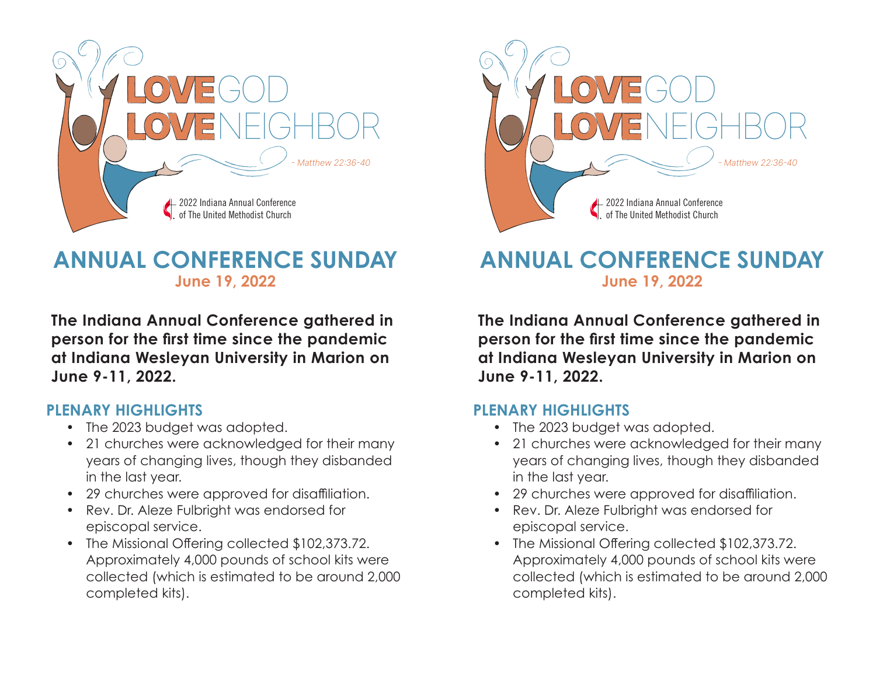

# **ANNUAL CONFERENCE SUNDAY June 19, 2022**

**The Indiana Annual Conference gathered in person for the first time since the pandemic at Indiana Wesleyan University in Marion on June 9-11, 2022.**

#### **PLENARY HIGHLIGHTS**

- The 2023 budget was adopted.
- 21 churches were acknowledged for their many years of changing lives, though they disbanded in the last year.
- 29 churches were approved for disaffiliation.
- Rev. Dr. Aleze Fulbright was endorsed for episcopal service.
- The Missional Offering collected \$102,373.72. Approximately 4,000 pounds of school kits were collected (which is estimated to be around 2,000 completed kits).



# **ANNUAL CONFERENCE SUNDAY June 19, 2022**

**The Indiana Annual Conference gathered in person for the first time since the pandemic at Indiana Wesleyan University in Marion on June 9-11, 2022.**

#### **PLENARY HIGHLIGHTS**

- The 2023 budget was adopted.
- 21 churches were acknowledged for their many years of changing lives, though they disbanded in the last year.
- 29 churches were approved for disaffiliation.
- Rev. Dr. Aleze Fulbright was endorsed for episcopal service.
- The Missional Offering collected \$102,373.72. Approximately 4,000 pounds of school kits were collected (which is estimated to be around 2,000 completed kits).